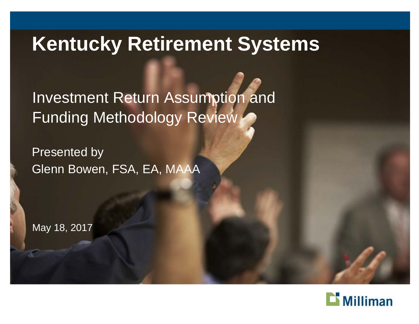#### **Kentucky Retirement Systems**

Investment Return Assumption and Funding Methodology Review

Presented by Glenn Bowen, FSA, EA, MAAA

May 18, 2017

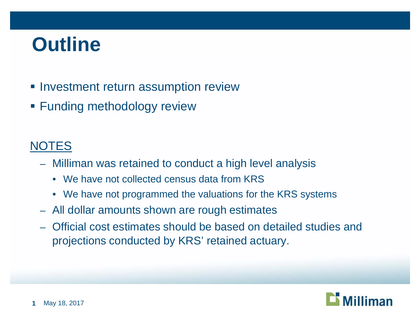### **Outline**

- **Investment return assumption review**
- **Funding methodology review**

#### **NOTES**

- Milliman was retained to conduct a high level analysis
	- We have not collected census data from KRS
	- We have not programmed the valuations for the KRS systems
- All dollar amounts shown are rough estimates
- Official cost estimates should be based on detailed studies and projections conducted by KRS' retained actuary.

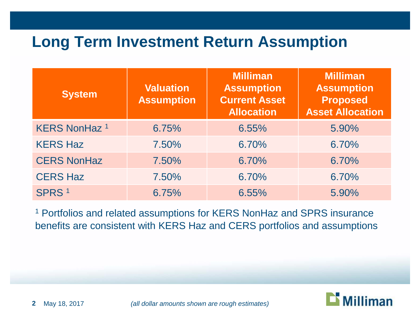#### **Long Term Investment Return Assumption**

| <b>System</b>        | <b>Valuation</b><br><b>Assumption</b> | <b>Milliman</b><br><b>Assumption</b><br><b>Current Asset</b><br><b>Allocation</b> | <b>Milliman</b><br><b>Assumption</b><br><b>Proposed</b><br><b>Asset Allocation</b> |
|----------------------|---------------------------------------|-----------------------------------------------------------------------------------|------------------------------------------------------------------------------------|
| <b>KERS NonHaz 1</b> | 6.75%                                 | 6.55%                                                                             | 5.90%                                                                              |
| <b>KERS Haz</b>      | 7.50%                                 | 6.70%                                                                             | 6.70%                                                                              |
| <b>CERS NonHaz</b>   | 7.50%                                 | 6.70%                                                                             | 6.70%                                                                              |
| <b>CERS Haz</b>      | 7.50%                                 | 6.70%                                                                             | 6.70%                                                                              |
| SPRS <sup>1</sup>    | 6.75%                                 | 6.55%                                                                             | 5.90%                                                                              |

<sup>1</sup> Portfolios and related assumptions for KERS NonHaz and SPRS insurance benefits are consistent with KERS Haz and CERS portfolios and assumptions

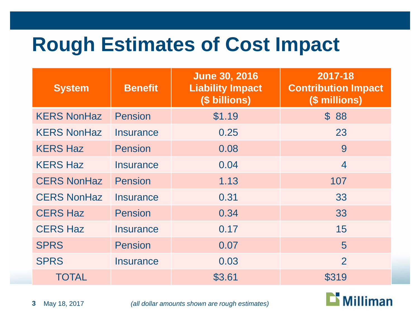# **Rough Estimates of Cost Impact**

| <b>System</b>      | <b>Benefit</b>   | <b>June 30, 2016</b><br><b>Liability Impact</b><br>(\$ billions) | 2017-18<br><b>Contribution Impact</b><br>(\$ millions) |
|--------------------|------------------|------------------------------------------------------------------|--------------------------------------------------------|
| <b>KERS NonHaz</b> | <b>Pension</b>   | \$1.19                                                           | \$ 88                                                  |
| <b>KERS NonHaz</b> | <b>Insurance</b> | 0.25                                                             | 23                                                     |
| <b>KERS Haz</b>    | <b>Pension</b>   | 0.08                                                             | 9                                                      |
| <b>KERS Haz</b>    | Insurance        | 0.04                                                             | $\overline{4}$                                         |
| <b>CERS NonHaz</b> | Pension          | 1.13                                                             | 107                                                    |
| <b>CERS NonHaz</b> | <b>Insurance</b> | 0.31                                                             | 33                                                     |
| <b>CERS Haz</b>    | <b>Pension</b>   | 0.34                                                             | 33                                                     |
| <b>CERS Haz</b>    | Insurance        | 0.17                                                             | 15                                                     |
| <b>SPRS</b>        | <b>Pension</b>   | 0.07                                                             | 5                                                      |
| <b>SPRS</b>        | Insurance        | 0.03                                                             | $\overline{2}$                                         |
| <b>TOTAL</b>       |                  | \$3.61                                                           | \$319                                                  |



May 18, 2017 *(all dollar amounts shown are rough estimates)*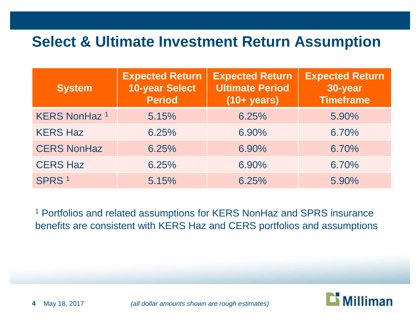#### **Select & Ultimate Investment Return Assumption**

| <b>System</b>        | <b>Expected Return</b><br><b>10-year Select</b><br><b>Period</b> | <b>Expected Return</b><br><b>Ultimate Period</b><br>$(10 + years)$ | <b>Expected Return</b><br>30-year<br><b>Timeframe</b> |
|----------------------|------------------------------------------------------------------|--------------------------------------------------------------------|-------------------------------------------------------|
| <b>KERS NonHaz 1</b> | 5.15%                                                            | 6.25%                                                              | 5.90%                                                 |
| <b>KERS Haz</b>      | 6.25%                                                            | 6.90%                                                              | 6.70%                                                 |
| <b>CERS NonHaz</b>   | 6.25%                                                            | 6.90%                                                              | 6.70%                                                 |
| <b>CERS Haz</b>      | 6.25%                                                            | 6.90%                                                              | 6.70%                                                 |
| SPRS <sup>1</sup>    | 5.15%                                                            | 6.25%                                                              | 5.90%                                                 |

<sup>1</sup> Portfolios and related assumptions for KERS NonHaz and SPRS insurance benefits are consistent with KERS Haz and CERS portfolios and assumptions

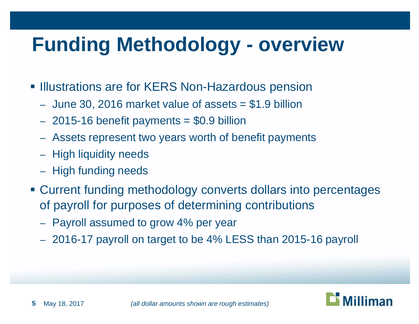# **Funding Methodology - overview**

- **Illustrations are for KERS Non-Hazardous pension** 
	- $-$  June 30, 2016 market value of assets  $= $1.9$  billion
	- $-2015-16$  benefit payments  $= $0.9$  billion
	- Assets represent two years worth of benefit payments
	- High liquidity needs
	- High funding needs
- Current funding methodology converts dollars into percentages of payroll for purposes of determining contributions
	- Payroll assumed to grow 4% per year
	- 2016-17 payroll on target to be 4% LESS than 2015-16 payroll

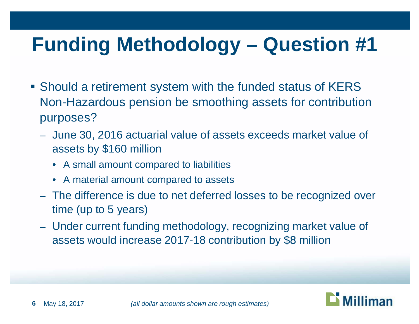- Should a retirement system with the funded status of KERS Non-Hazardous pension be smoothing assets for contribution purposes?
	- June 30, 2016 actuarial value of assets exceeds market value of assets by \$160 million
		- A small amount compared to liabilities
		- A material amount compared to assets
	- The difference is due to net deferred losses to be recognized over time (up to 5 years)
	- Under current funding methodology, recognizing market value of assets would increase 2017-18 contribution by \$8 million

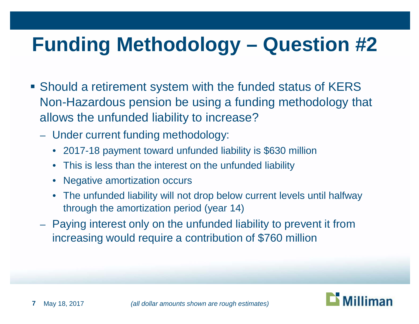- Should a retirement system with the funded status of KERS Non-Hazardous pension be using a funding methodology that allows the unfunded liability to increase?
	- Under current funding methodology:
		- 2017-18 payment toward unfunded liability is \$630 million
		- This is less than the interest on the unfunded liability
		- Negative amortization occurs
		- The unfunded liability will not drop below current levels until halfway through the amortization period (year 14)
	- Paying interest only on the unfunded liability to prevent it from increasing would require a contribution of \$760 million

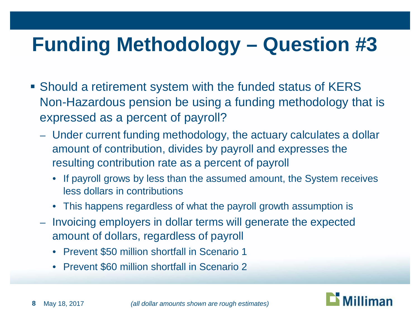- Should a retirement system with the funded status of KERS Non-Hazardous pension be using a funding methodology that is expressed as a percent of payroll?
	- Under current funding methodology, the actuary calculates a dollar amount of contribution, divides by payroll and expresses the resulting contribution rate as a percent of payroll
		- If payroll grows by less than the assumed amount, the System receives less dollars in contributions
		- This happens regardless of what the payroll growth assumption is
	- Invoicing employers in dollar terms will generate the expected amount of dollars, regardless of payroll
		- Prevent \$50 million shortfall in Scenario 1
		- Prevent \$60 million shortfall in Scenario 2

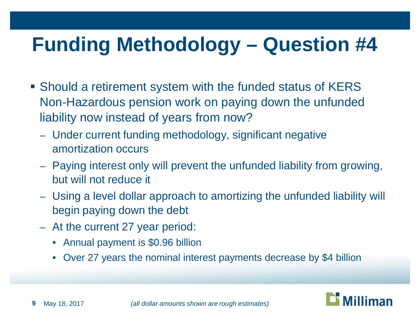- Should a retirement system with the funded status of KERS Non-Hazardous pension work on paying down the unfunded liability now instead of years from now?
	- Under current funding methodology, significant negative amortization occurs
	- Paying interest only will prevent the unfunded liability from growing, but will not reduce it
	- Using a level dollar approach to amortizing the unfunded liability will begin paying down the debt
	- At the current 27 year period:
		- Annual payment is \$0.96 billion
		- Over 27 years the nominal interest payments decrease by \$4 billion

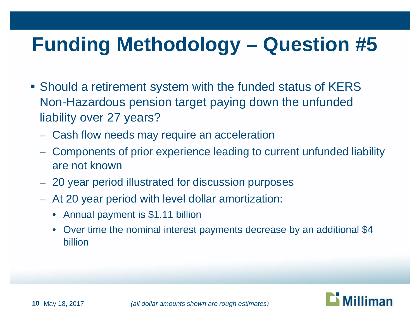- Should a retirement system with the funded status of KERS Non-Hazardous pension target paying down the unfunded liability over 27 years?
	- Cash flow needs may require an acceleration
	- Components of prior experience leading to current unfunded liability are not known
	- 20 year period illustrated for discussion purposes
	- At 20 year period with level dollar amortization:
		- Annual payment is \$1.11 billion
		- Over time the nominal interest payments decrease by an additional \$4 billion

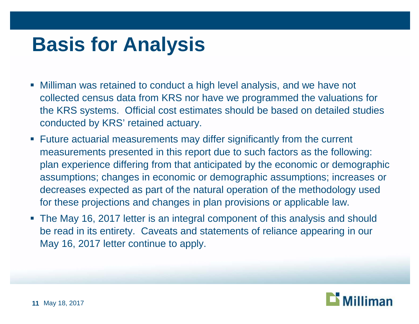### **Basis for Analysis**

- Milliman was retained to conduct a high level analysis, and we have not collected census data from KRS nor have we programmed the valuations for the KRS systems. Official cost estimates should be based on detailed studies conducted by KRS' retained actuary.
- Future actuarial measurements may differ significantly from the current measurements presented in this report due to such factors as the following: plan experience differing from that anticipated by the economic or demographic assumptions; changes in economic or demographic assumptions; increases or decreases expected as part of the natural operation of the methodology used for these projections and changes in plan provisions or applicable law.
- The May 16, 2017 letter is an integral component of this analysis and should be read in its entirety. Caveats and statements of reliance appearing in our May 16, 2017 letter continue to apply.

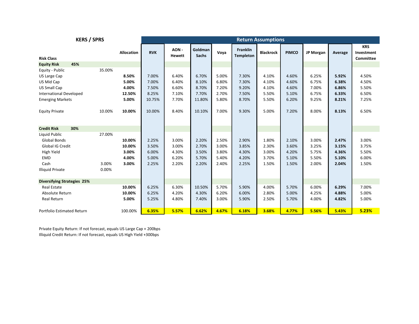| <b>KERS / SPRS</b>                                                                                                      |                          |                                             | <b>Return Assumptions</b>                 |                                           |                                           |                                           |                                           |                                           |                                           |                                           |                                           |                                           |
|-------------------------------------------------------------------------------------------------------------------------|--------------------------|---------------------------------------------|-------------------------------------------|-------------------------------------------|-------------------------------------------|-------------------------------------------|-------------------------------------------|-------------------------------------------|-------------------------------------------|-------------------------------------------|-------------------------------------------|-------------------------------------------|
| <b>Risk Class</b>                                                                                                       |                          | Allocation                                  | <b>RVK</b>                                | AON -<br><b>Hewett</b>                    | Goldman<br><b>Sachs</b>                   | Voya                                      | <b>Franklin</b><br><b>Templeton</b>       | <b>Blackrock</b>                          | <b>PIMCO</b>                              | JP Morgan                                 | Average                                   | <b>KRS</b><br>Investment<br>Committee     |
| <b>Equity Risk</b><br>45%                                                                                               |                          |                                             |                                           |                                           |                                           |                                           |                                           |                                           |                                           |                                           |                                           |                                           |
| Equity - Public<br>US Large Cap<br>US Mid Cap<br><b>US Small Cap</b><br><b>International Developed</b>                  | 35.00%                   | 8.50%<br>5.00%<br>4.00%<br>12.50%           | 7.00%<br>7.00%<br>7.50%<br>8.25%          | 6.40%<br>6.40%<br>6.60%<br>7.10%          | 6.70%<br>8.10%<br>8.70%<br>7.70%          | 5.00%<br>6.80%<br>7.20%<br>2.70%          | 7.30%<br>7.30%<br>9.20%<br>7.50%          | 4.10%<br>4.10%<br>4.10%<br>5.50%          | 4.60%<br>4.60%<br>4.60%<br>5.10%          | 6.25%<br>6.75%<br>7.00%<br>6.75%          | 5.92%<br>6.38%<br>6.86%<br>6.33%          | 4.50%<br>4.50%<br>5.50%<br>6.50%          |
| <b>Emerging Markets</b>                                                                                                 |                          | 5.00%                                       | 10.75%                                    | 7.70%                                     | 11.80%                                    | 5.80%                                     | 8.70%                                     | 5.50%                                     | 6.20%                                     | 9.25%                                     | 8.21%                                     | 7.25%                                     |
| <b>Equity Private</b>                                                                                                   | 10.00%                   | 10.00%                                      | 10.00%                                    | 8.40%                                     | 10.10%                                    | 7.00%                                     | 9.30%                                     | 5.00%                                     | 7.20%                                     | 8.00%                                     | 8.13%                                     | 6.50%                                     |
| 30%<br><b>Credit Risk</b>                                                                                               |                          |                                             |                                           |                                           |                                           |                                           |                                           |                                           |                                           |                                           |                                           |                                           |
| Liquid Public<br><b>Global Bonds</b><br>Global IG Credit<br>High Yield<br><b>EMD</b><br>Cash<br><b>Illiquid Private</b> | 27.00%<br>3.00%<br>0.00% | 10.00%<br>10.00%<br>3.00%<br>4.00%<br>3.00% | 2.25%<br>3.50%<br>6.00%<br>5.00%<br>2.25% | 3.00%<br>3.00%<br>4.30%<br>6.20%<br>2.20% | 2.20%<br>2.70%<br>3.50%<br>5.70%<br>2.20% | 2.50%<br>3.00%<br>3.80%<br>5.40%<br>2.40% | 2.90%<br>3.85%<br>4.30%<br>4.20%<br>2.25% | 1.80%<br>2.30%<br>3.00%<br>3.70%<br>1.50% | 2.10%<br>3.60%<br>4.20%<br>5.10%<br>1.50% | 3.00%<br>3.25%<br>5.75%<br>5.50%<br>2.00% | 2.47%<br>3.15%<br>4.36%<br>5.10%<br>2.04% | 3.00%<br>3.75%<br>5.50%<br>6.00%<br>1.50% |
| <b>Diversifying Strategies 25%</b>                                                                                      |                          |                                             |                                           |                                           |                                           |                                           |                                           |                                           |                                           |                                           |                                           |                                           |
| <b>Real Estate</b><br>Absolute Return<br>Real Return                                                                    |                          | 10.00%<br>10.00%<br>5.00%                   | 6.25%<br>6.25%<br>5.25%                   | 6.30%<br>4.20%<br>4.80%                   | 10.50%<br>4.30%<br>7.40%                  | 5.70%<br>6.20%<br>3.00%                   | 5.90%<br>6.00%<br>5.90%                   | 4.00%<br>2.80%<br>2.50%                   | 5.70%<br>5.00%<br>5.70%                   | 6.00%<br>4.25%<br>4.00%                   | 6.29%<br>4.88%<br>4.82%                   | 7.00%<br>5.00%<br>5.00%<br>5.23%          |
| Portfolio Estimated Return                                                                                              |                          | 100.00%                                     | 6.35%                                     | 5.57%                                     | 6.62%                                     | 4.67%                                     | 6.18%                                     | 3.68%                                     | 4.77%                                     | 5.56%                                     | 5.43%                                     |                                           |

Private Equity Return: If not forecast, equals US Large Cap + 200bps Illiquid Credit Return: If not forecast, equals US High Yield +300bps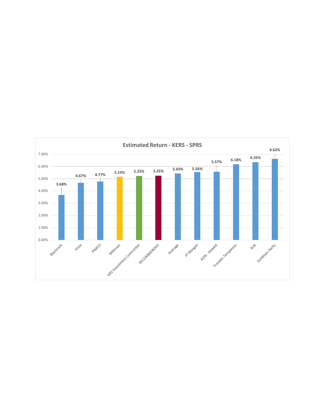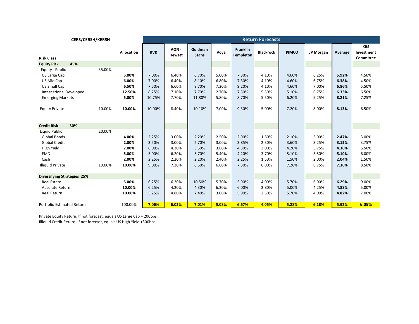| <b>CERS/CERSH/KERSH</b>            |        |                   |            |                       |                         |       |                              | <b>Return Forecasts</b> |              |           |         |                                              |
|------------------------------------|--------|-------------------|------------|-----------------------|-------------------------|-------|------------------------------|-------------------------|--------------|-----------|---------|----------------------------------------------|
| <b>Risk Class</b>                  |        | <b>Allocation</b> | <b>RVK</b> | AON-<br><b>Hewett</b> | Goldman<br><b>Sachs</b> | Voya  | Franklin<br><b>Templeton</b> | <b>Blackrock</b>        | <b>PIMCO</b> | JP Morgan | Average | <b>KRS</b><br>Investment<br><b>Committee</b> |
| 45%<br><b>Equity Risk</b>          |        |                   |            |                       |                         |       |                              |                         |              |           |         |                                              |
| Equity - Public                    | 35.00% |                   |            |                       |                         |       |                              |                         |              |           |         |                                              |
| US Large Cap                       |        | 5.00%             | 7.00%      | 6.40%                 | 6.70%                   | 5.00% | 7.30%                        | 4.10%                   | 4.60%        | 6.25%     | 5.92%   | 4.50%                                        |
| US Mid Cap                         |        | 6.00%             | 7.00%      | 6.40%                 | 8.10%                   | 6.80% | 7.30%                        | 4.10%                   | 4.60%        | 6.75%     | 6.38%   | 4.50%                                        |
| <b>US Small Cap</b>                |        | 6.50%             | 7.50%      | 6.60%                 | 8.70%                   | 7.20% | 9.20%                        | 4.10%                   | 4.60%        | 7.00%     | 6.86%   | 5.50%                                        |
| <b>International Developed</b>     |        | 12.50%            | 8.25%      | 7.10%                 | 7.70%                   | 2.70% | 7.50%                        | 5.50%                   | 5.10%        | 6.75%     | 6.33%   | 6.50%                                        |
| <b>Emerging Markets</b>            |        | 5.00%             | 10.75%     | 7.70%                 | 11.80%                  | 5.80% | 8.70%                        | 5.50%                   | 6.20%        | 9.25%     | 8.21%   | 7.25%                                        |
| <b>Equity Private</b>              | 10.00% | 10.00%            | 10.00%     | 8.40%                 | 10.10%                  | 7.00% | 9.30%                        | 5.00%                   | 7.20%        | 8.00%     | 8.13%   | 6.50%                                        |
| <b>Credit Risk</b><br>30%          |        |                   |            |                       |                         |       |                              |                         |              |           |         |                                              |
| Liquid Public                      | 20.00% |                   |            |                       |                         |       |                              |                         |              |           |         |                                              |
| <b>Global Bonds</b>                |        | 4.00%             | 2.25%      | 3.00%                 | 2.20%                   | 2.50% | 2.90%                        | 1.80%                   | 2.10%        | 3.00%     | 2.47%   | 3.00%                                        |
| <b>Global Credit</b>               |        | 2.00%             | 3.50%      | 3.00%                 | 2.70%                   | 3.00% | 3.85%                        | 2.30%                   | 3.60%        | 3.25%     | 3.15%   | 3.75%                                        |
| High Yield                         |        | 7.00%             | 6.00%      | 4.30%                 | 3.50%                   | 3.80% | 4.30%                        | 3.00%                   | 4.20%        | 5.75%     | 4.36%   | 5.50%                                        |
| <b>EMD</b>                         |        | 5.00%             | 5.00%      | 6.20%                 | 5.70%                   | 5.40% | 4.20%                        | 3.70%                   | 5.10%        | 5.50%     | 5.10%   | 6.00%                                        |
| Cash                               |        | 2.00%             | 2.25%      | 2.20%                 | 2.20%                   | 2.40% | 2.25%                        | 1.50%                   | 1.50%        | 2.00%     | 2.04%   | 1.50%                                        |
| <b>Illiquid Private</b>            | 10.00% | 10.00%            | 9.00%      | 7.30%                 | 6.50%                   | 6.80% | 7.30%                        | 6.00%                   | 7.20%        | 8.75%     | 7.36%   | 8.50%                                        |
|                                    |        |                   |            |                       |                         |       |                              |                         |              |           |         |                                              |
| <b>Diversifying Strategies 25%</b> |        |                   |            |                       |                         |       |                              |                         |              |           |         |                                              |
| <b>Real Estate</b>                 |        | 5.00%             | 6.25%      | 6.30%                 | 10.50%                  | 5.70% | 5.90%                        | 4.00%                   | 5.70%        | 6.00%     | 6.29%   | 9.00%                                        |
| Absolute Return                    |        | 10.00%            | 6.25%      | 4.20%                 | 4.30%                   | 6.20% | 6.00%                        | 2.80%                   | 5.00%        | 4.25%     | 4.88%   | 5.00%                                        |
| Real Return                        |        | 10.00%            | 5.25%      | 4.80%                 | 7.40%                   | 3.00% | 5.90%                        | 2.50%                   | 5.70%        | 4.00%     | 4.82%   | 7.00%                                        |
|                                    |        |                   |            |                       |                         |       |                              |                         |              |           |         |                                              |
| <b>Portfolio Estimated Return</b>  |        | 100.00%           | 7.06%      | 6.03%                 | 7.01%                   | 5.08% | 6.67%                        | 4.05%                   | 5.28%        | 6.18%     | 5.92%   | 6.09%                                        |

Private Equity Return: If not forecast, equals US Large Cap + 200bps Illiquid Credit Return: If not forecast, equals US High Yield +300bps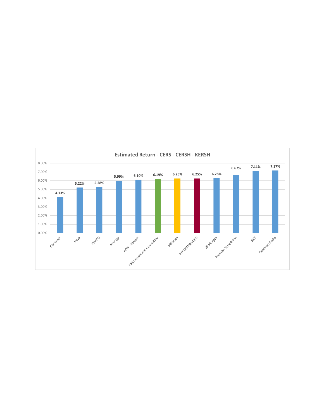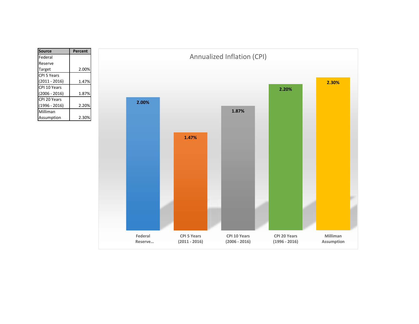| Source          | Percent |
|-----------------|---------|
| Federal         |         |
| Reserve         |         |
| Target          | 2.00%   |
| CPI 5 Years     |         |
| (2011 - 2016)   | 1.47%   |
| CPI 10 Years    |         |
| (2006 - 2016)   | 1.87%   |
| CPI 20 Years    |         |
| $(1996 - 2016)$ | 2.20%   |
| Milliman        |         |
| Assumption      | 2.309   |

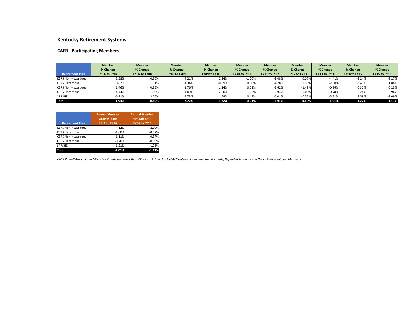#### **Kentucky Retirement Systems**

#### **CAFR - Participating Members**

|                           | <b>Member</b>        | <b>Member</b>        | <b>Member</b> | <b>Member</b> | <b>Member</b>       | <b>Member</b> | <b>Member</b> | <b>Member</b> | <b>Member</b> | <b>Member</b> |
|---------------------------|----------------------|----------------------|---------------|---------------|---------------------|---------------|---------------|---------------|---------------|---------------|
|                           | % Change             | % Change             | % Change      | % Change      | % Change            | % Change      | % Change      | % Change      | % Change      | % Change      |
| <b>Retirement Plan</b>    | <b>FY 06 to FY07</b> | <b>FY 07 to FY08</b> | FY08 to FY09  | FY09 to FY10  | <b>FY10 to FY11</b> | FY11 to FY12  | FY12 to FY13  | FY13 to FY14  | FY14 to FY15  | FY15 to FY16  |
| <b>KERS Non-Hazardous</b> | 2.58%                | 0.36%                | $-4.21%$      | 2.24%         | $-1.00\%$           | $-9.48%$      | 0.07%         | $-4.41%$      | $-3.24%$      | $-3.27%$      |
| <b>KERS Hazardous</b>     | 0.67%                | 1.01%                | $-1.34%$      | $-0.99%$      | 0.00%               | $-4.78%$      | 1.00%         | $-2.50%$      | $-3.43%$      | 1.88%         |
| <b>CERS Non-Hazardous</b> | 1.46%                | 0.35%                | $-1.76%$      | 1.14%         | 0.71%               | $-2.62%$      | $-1.49%$      | $-0.86%$      | $-0.32%$      | $-0.23%$      |
| <b>CERS Hazardous</b>     | 4.44%                | 1.09%                | $-4.09%$      | $-2.00\%$     | $-1.62%$            | $-2.94%$      | $-0.08%$      | 0.78%         | $-0.24%$      | $-0.96%$      |
| <b>SPRSHZ</b>             | $-6.91%$             | 3.76%                | $-4.73%$      | 1.59%         | 0.42%               | $-6.01%$      | $-0.55%$      | $-5.21%$      | 9.59%         | $-3.09%$      |
| <b>Total</b>              | 1.94%                | 0.45%                | $-2.72%$      | 1.22%         | $-0.01%$            | $-4.91%$      | $-0.85%$      | $-1.91%$      | $-1.22%$      | $-1.13%$      |

| <b>Retirement Plan</b>    | <b>Annual Member</b><br><b>Growth Rate</b><br>FY11 to FY16 | <b>Annual Member</b><br><b>Growth Rate</b><br>FY06 to FY16 |
|---------------------------|------------------------------------------------------------|------------------------------------------------------------|
| <b>KERS Non-Hazardous</b> | $-4.12%$                                                   | $-2.10%$                                                   |
| <b>KERS Hazardous</b>     | $-1.60%$                                                   | $-0.87%$                                                   |
| <b>CERS Non-Hazardous</b> | $-1.11%$                                                   | $-0.37%$                                                   |
| <b>CERS Hazardous</b>     | $-0.70%$                                                   | $-0.59%$                                                   |
| <b>SPRSHZ</b>             | $-1.21%$                                                   | $-1.23%$                                                   |
| Total                     | $-2.01%$                                                   | $-1.12%$                                                   |

*CAFR Payroll Amounts and Member Counts are lower than PIR extract data due to CAFR data excluding Inactive Accounts, Refunded Amounts and Retired - Reemployed Members*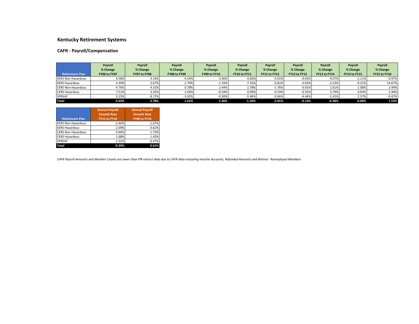#### **Kentucky Retirement Systems**

#### **CAFR - Payroll/Compensation**

|                           | Payroll      | Payroll      | Payroll      | Payroll      | Payroll             | Payroll      | Payroll      | Payroll      | Payroll      | Payroll      |
|---------------------------|--------------|--------------|--------------|--------------|---------------------|--------------|--------------|--------------|--------------|--------------|
|                           | % Change     | % Change     | % Change     | % Change     | % Change            | % Change     | % Change     | % Change     | % Change     | % Change     |
| <b>Retirement Plan</b>    | FY06 to FY07 | FY07 to FY08 | FY08 to FY09 | FY09 to FY10 | <b>FY10 to FY11</b> | FY11 to FY12 | FY12 to FY13 | FY13 to FY14 | FY14 to FY15 | FY15 to FY16 |
| <b>KERS Non-Hazardous</b> | 4.58%        | 3.24%        | $-4.54%$     | 3.46%        | $-4.60%$            | $-5.01%$     | $-0.03%$     | $-4.07%$     | $-2.11%$     | $-0.97%$     |
| <b>KERS Hazardous</b>     | 4.39%        | 2.67%        | $-1.79%$     | $-1.70%$     | $-7.32%$            | $-0.81%$     | 0.03%        | $-2.23%$     | $-0.31%$     | 14.67%       |
| <b>CERS Non-Hazardous</b> | 4.76%        | 4.32%        | 0.78%        | 2.44%        | 1.78%               | $-1.76%$     | $-0.01%$     | 1.61%        | 1.08%        | 2.44%        |
| <b>CERS Hazardous</b>     | 7.51%        | 3.32%        | $-1.04%$     | $-0.59%$     | 0.09%               | $-0.59%$     | $-0.55%$     | 3.79%        | 0.93%        | 1.90%        |
| <b>SPRSHZ</b>             | 3.15%        | 8.17%        | $-3.02%$     | $-0.30\%$    | $-5.46%$            | $-0.66%$     | $-6.44%$     | $-1.41%$     | 2.57%        | $-0.47%$     |
| <b>Total</b>              | 4.93%        | 3.78%        | $-1.62%$     | 2.36%        | $-1.20%$            | $-2.81%$     | $-0.14%$     | $-0.38%$     | $-0.08%$     | 1.53%        |

| <b>Retirement Plan</b>    | <b>Annual Payroll</b><br><b>Growth Rate</b><br>FY11 to FY16 | <b>Annual Payroll</b><br><b>Growth Rate</b><br>FY06 to FY16 |
|---------------------------|-------------------------------------------------------------|-------------------------------------------------------------|
| <b>KERS Non-Hazardous</b> | $-2.46%$                                                    | $-1.07%$                                                    |
| <b>KERS Hazardous</b>     | 2.09%                                                       | 0.62%                                                       |
| <b>CERS Non-Hazardous</b> | 0.66%                                                       | 1.73%                                                       |
| <b>CERS Hazardous</b>     | 1.08%                                                       | 1.45%                                                       |
| <b>SPRSHZ</b>             | $-1.32%$                                                    | $-0.47%$                                                    |
| <b>Total</b>              | $-0.39%$                                                    | 0.61%                                                       |

*CAFR Payroll Amounts and Member Counts are lower than PIR extract data due to CAFR data excluding Inactive Accounts, Refunded Amounts and Retired - Reemployed Members*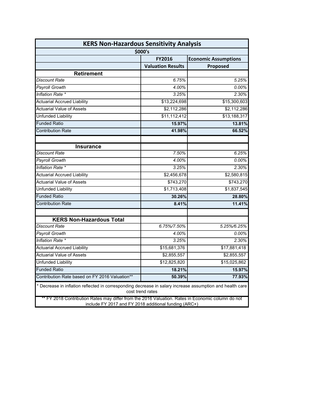| <b>KERS Non-Hazardous Sensitivity Analysis</b>                                                                                                             |                          |                             |  |  |  |  |  |
|------------------------------------------------------------------------------------------------------------------------------------------------------------|--------------------------|-----------------------------|--|--|--|--|--|
|                                                                                                                                                            | \$000's                  |                             |  |  |  |  |  |
|                                                                                                                                                            | <b>FY2016</b>            | <b>Economic Assumptions</b> |  |  |  |  |  |
|                                                                                                                                                            | <b>Valuation Results</b> | Proposed                    |  |  |  |  |  |
| <b>Retirement</b>                                                                                                                                          |                          |                             |  |  |  |  |  |
| <b>Discount Rate</b>                                                                                                                                       | 6.75%                    | 5.25%                       |  |  |  |  |  |
| <b>Payroll Growth</b>                                                                                                                                      | 4.00%                    | $0.00\%$                    |  |  |  |  |  |
| Inflation Rate *                                                                                                                                           | 3.25%                    | 2.30%                       |  |  |  |  |  |
| <b>Actuarial Accrued Liability</b>                                                                                                                         | \$13,224,698             | \$15,300,603                |  |  |  |  |  |
| <b>Actuarial Value of Assets</b>                                                                                                                           | \$2,112,286              | \$2,112,286                 |  |  |  |  |  |
| <b>Unfunded Liability</b>                                                                                                                                  | \$11,112,412             | \$13,188,317                |  |  |  |  |  |
| <b>Funded Ratio</b>                                                                                                                                        | 15.97%                   | 13.81%                      |  |  |  |  |  |
| <b>Contribution Rate</b>                                                                                                                                   | 41.98%                   | 66.52%                      |  |  |  |  |  |
| <b>Insurance</b>                                                                                                                                           |                          |                             |  |  |  |  |  |
| Discount Rate                                                                                                                                              | 7.50%                    | 6.25%                       |  |  |  |  |  |
| Payroll Growth                                                                                                                                             | 4.00%                    | 0.00%                       |  |  |  |  |  |
| Inflation Rate *                                                                                                                                           | 3.25%                    | 2.30%                       |  |  |  |  |  |
| <b>Actuarial Accrued Liability</b>                                                                                                                         | \$2,456,678              | \$2,580,815                 |  |  |  |  |  |
| <b>Actuarial Value of Assets</b>                                                                                                                           | \$743,270                | \$743,270                   |  |  |  |  |  |
| Unfunded Liability                                                                                                                                         | \$1,713,408              | \$1,837,545                 |  |  |  |  |  |
| <b>Funded Ratio</b>                                                                                                                                        | 30.26%                   | 28.80%                      |  |  |  |  |  |
| <b>Contribution Rate</b>                                                                                                                                   | 8.41%                    | 11.41%                      |  |  |  |  |  |
|                                                                                                                                                            |                          |                             |  |  |  |  |  |
| <b>KERS Non-Hazardous Total</b>                                                                                                                            |                          |                             |  |  |  |  |  |
| <b>Discount Rate</b>                                                                                                                                       | 6.75%/7.50%              | 5.25%/6.25%                 |  |  |  |  |  |
| <b>Payroll Growth</b>                                                                                                                                      | 4.00%                    | $0.00\%$                    |  |  |  |  |  |
| Inflation Rate *                                                                                                                                           | 3.25%                    | 2.30%                       |  |  |  |  |  |
| <b>Actuarial Accrued Liability</b>                                                                                                                         | \$15,681,376             | \$17,881,418                |  |  |  |  |  |
| <b>Actuarial Value of Assets</b>                                                                                                                           | \$2,855,557              | \$2,855,557                 |  |  |  |  |  |
| <b>Unfunded Liability</b>                                                                                                                                  | \$12,825,820             | \$15,025,862                |  |  |  |  |  |
| <b>Funded Ratio</b>                                                                                                                                        | 18.21%                   | 15.97%                      |  |  |  |  |  |
| Contribution Rate based on FY 2016 Valuation**                                                                                                             | 50.39%                   | 77.93%                      |  |  |  |  |  |
| * Decrease in inflation reflected in corresponding decrease in salary increase assumption and health care<br>cost trend rates                              |                          |                             |  |  |  |  |  |
| ** FY 2018 Contribution Rates may differ from the 2016 Valuation. Rates in Economic column do not<br>include FY 2017 and FY 2018 additional funding (ARC+) |                          |                             |  |  |  |  |  |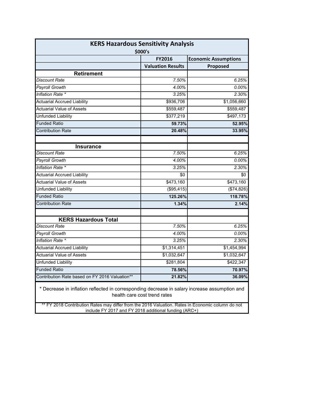| <b>KERS Hazardous Sensitivity Analysis</b><br>\$000's                                                                                                      |                          |                             |  |  |  |  |
|------------------------------------------------------------------------------------------------------------------------------------------------------------|--------------------------|-----------------------------|--|--|--|--|
|                                                                                                                                                            | <b>FY2016</b>            | <b>Economic Assumptions</b> |  |  |  |  |
|                                                                                                                                                            | <b>Valuation Results</b> | Proposed                    |  |  |  |  |
| <b>Retirement</b>                                                                                                                                          |                          |                             |  |  |  |  |
| <b>Discount Rate</b>                                                                                                                                       | 7.50%                    | 6.25%                       |  |  |  |  |
| <b>Payroll Growth</b>                                                                                                                                      | 4.00%                    | 0.00%                       |  |  |  |  |
| Inflation Rate *                                                                                                                                           | 3.25%                    | 2.30%                       |  |  |  |  |
| <b>Actuarial Accrued Liability</b>                                                                                                                         | \$936,706                | \$1,056,660                 |  |  |  |  |
| <b>Actuarial Value of Assets</b>                                                                                                                           | \$559,487                | \$559,487                   |  |  |  |  |
| Unfunded Liability                                                                                                                                         | \$377,219                | \$497,173                   |  |  |  |  |
| <b>Funded Ratio</b>                                                                                                                                        | 59.73%                   | 52.95%                      |  |  |  |  |
| <b>Contribution Rate</b>                                                                                                                                   | 20.48%                   | 33.95%                      |  |  |  |  |
| <b>Insurance</b>                                                                                                                                           |                          |                             |  |  |  |  |
| Discount Rate                                                                                                                                              | 7.50%                    | 6.25%                       |  |  |  |  |
| <b>Payroll Growth</b>                                                                                                                                      | 4.00%                    | 0.00%                       |  |  |  |  |
| Inflation Rate *                                                                                                                                           | 3.25%                    | 2.30%                       |  |  |  |  |
| <b>Actuarial Accrued Liability</b>                                                                                                                         | \$0                      | \$0                         |  |  |  |  |
| <b>Actuarial Value of Assets</b>                                                                                                                           | \$473,160                | \$473,160                   |  |  |  |  |
| Unfunded Liability                                                                                                                                         | (\$95,415)               | (\$74,826)                  |  |  |  |  |
| <b>Funded Ratio</b>                                                                                                                                        | 125.26%                  | 118.78%                     |  |  |  |  |
| <b>Contribution Rate</b>                                                                                                                                   | 1.34%                    | 2.14%                       |  |  |  |  |
| <b>KERS Hazardous Total</b>                                                                                                                                |                          |                             |  |  |  |  |
| <b>Discount Rate</b>                                                                                                                                       | 7.50%                    | 6.25%                       |  |  |  |  |
| Payroll Growth                                                                                                                                             | 4.00%                    | 0.00%                       |  |  |  |  |
| Inflation Rate *                                                                                                                                           | 3.25%                    | 2.30%                       |  |  |  |  |
| <b>Actuarial Accrued Liability</b>                                                                                                                         | \$1,314,451              | \$1,454,994                 |  |  |  |  |
| <b>Actuarial Value of Assets</b>                                                                                                                           | \$1,032,647              | \$1,032,647                 |  |  |  |  |
| <b>Unfunded Liability</b>                                                                                                                                  | \$281,804                | \$422,347                   |  |  |  |  |
| <b>Funded Ratio</b>                                                                                                                                        | 78.56%                   | 70.97%                      |  |  |  |  |
| Contribution Rate based on FY 2016 Valuation**                                                                                                             | 21.82%                   | 36.09%                      |  |  |  |  |
| * Decrease in inflation reflected in corresponding decrease in salary increase assumption and<br>health care cost trend rates                              |                          |                             |  |  |  |  |
| ** FY 2018 Contribution Rates may differ from the 2016 Valuation. Rates in Economic column do not<br>include FY 2017 and FY 2018 additional funding (ARC+) |                          |                             |  |  |  |  |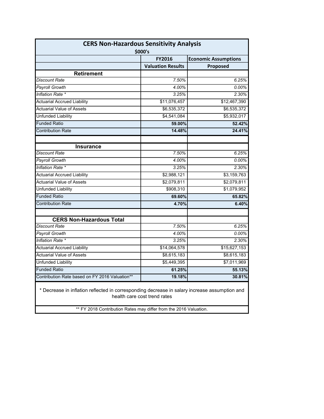| <b>CERS Non-Hazardous Sensitivity Analysis</b><br>\$000's                                     |                              |                             |  |
|-----------------------------------------------------------------------------------------------|------------------------------|-----------------------------|--|
|                                                                                               | <b>FY2016</b>                | <b>Economic Assumptions</b> |  |
|                                                                                               | <b>Valuation Results</b>     | Proposed                    |  |
| <b>Retirement</b>                                                                             |                              |                             |  |
| <b>Discount Rate</b>                                                                          | 7.50%                        | 6.25%                       |  |
| Payroll Growth                                                                                | 4.00%                        | $0.00\%$                    |  |
| Inflation Rate *                                                                              | 3.25%                        | 2.30%                       |  |
| <b>Actuarial Accrued Liability</b>                                                            | \$11,076,457                 | \$12,467,390                |  |
| <b>Actuarial Value of Assets</b>                                                              | \$6,535,372                  | \$6,535,372                 |  |
| <b>Unfunded Liability</b>                                                                     | \$4,541,084                  | \$5,932,017                 |  |
| <b>Funded Ratio</b>                                                                           | 59.00%                       | 52.42%                      |  |
| <b>Contribution Rate</b>                                                                      | 14.48%                       | 24.41%                      |  |
| <b>Insurance</b>                                                                              |                              |                             |  |
| Discount Rate                                                                                 | 7.50%                        | 6.25%                       |  |
| <b>Payroll Growth</b>                                                                         | 4.00%                        | $0.00\%$                    |  |
| Inflation Rate *                                                                              | 3.25%                        | 2.30%                       |  |
| <b>Actuarial Accrued Liability</b>                                                            | \$2,988,121                  | \$3,159,763                 |  |
| <b>Actuarial Value of Assets</b>                                                              | \$2,079,811                  | \$2,079,811                 |  |
| <b>Unfunded Liability</b>                                                                     | \$908,310                    | \$1,079,952                 |  |
| <b>Funded Ratio</b>                                                                           | 69.60%                       | 65.82%                      |  |
| <b>Contribution Rate</b>                                                                      | 4.70%                        | 6.40%                       |  |
| <b>CERS Non-Hazardous Total</b>                                                               |                              |                             |  |
| Discount Rate                                                                                 | 7.50%                        | 6.25%                       |  |
| <b>Payroll Growth</b>                                                                         | 4.00%                        | 0.00%                       |  |
| Inflation Rate *                                                                              | 3.25%                        | 2.30%                       |  |
| <b>Actuarial Accrued Liability</b>                                                            | \$14,064,578                 | \$15,627,153                |  |
| <b>Actuarial Value of Assets</b>                                                              | \$8,615,183                  | \$8,615,183                 |  |
| <b>Unfunded Liability</b>                                                                     | \$5,449,395                  | \$7,011,969                 |  |
| <b>Funded Ratio</b>                                                                           | 61.25%                       | 55.13%                      |  |
| Contribution Rate based on FY 2016 Valuation**                                                | 19.18%                       | 30.81%                      |  |
| * Decrease in inflation reflected in corresponding decrease in salary increase assumption and | health care cost trend rates |                             |  |

\*\* FY 2018 Contribution Rates may differ from the 2016 Valuation.

I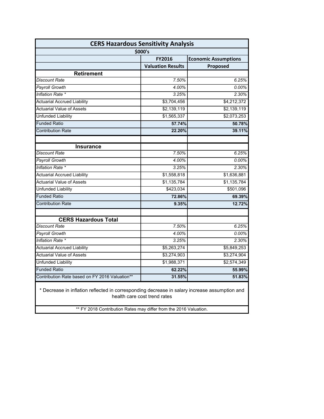| <b>CERS Hazardous Sensitivity Analysis</b>                                                                                                                                                         |                            |                                        |  |  |
|----------------------------------------------------------------------------------------------------------------------------------------------------------------------------------------------------|----------------------------|----------------------------------------|--|--|
| \$000's                                                                                                                                                                                            |                            |                                        |  |  |
|                                                                                                                                                                                                    | <b>FY2016</b>              | <b>Economic Assumptions</b>            |  |  |
|                                                                                                                                                                                                    | <b>Valuation Results</b>   | Proposed                               |  |  |
| <b>Retirement</b>                                                                                                                                                                                  |                            |                                        |  |  |
| <b>Discount Rate</b>                                                                                                                                                                               | 7.50%                      | 6.25%                                  |  |  |
| <b>Payroll Growth</b>                                                                                                                                                                              | 4.00%                      | $0.00\%$                               |  |  |
| Inflation Rate *                                                                                                                                                                                   | 3.25%                      | 2.30%                                  |  |  |
| <b>Actuarial Accrued Liability</b>                                                                                                                                                                 | \$3,704,456                | \$4,212,372                            |  |  |
| <b>Actuarial Value of Assets</b>                                                                                                                                                                   | \$2,139,119                | \$2,139,119                            |  |  |
| <b>Unfunded Liability</b>                                                                                                                                                                          | \$1,565,337                | \$2,073,253                            |  |  |
| <b>Funded Ratio</b>                                                                                                                                                                                | 57.74%                     | 50.78%                                 |  |  |
| <b>Contribution Rate</b>                                                                                                                                                                           | 22.20%                     | 39.11%                                 |  |  |
|                                                                                                                                                                                                    |                            |                                        |  |  |
| <b>Insurance</b><br>Discount Rate                                                                                                                                                                  | 7.50%                      | 6.25%                                  |  |  |
| <b>Payroll Growth</b>                                                                                                                                                                              | $\frac{4.00\%}{ }$         | $0.00\%$                               |  |  |
| Inflation Rate *                                                                                                                                                                                   | 3.25%                      | 2.30%                                  |  |  |
| <b>Actuarial Accrued Liability</b>                                                                                                                                                                 | \$1,558,818                | \$1,636,881                            |  |  |
| <b>Actuarial Value of Assets</b>                                                                                                                                                                   | \$1,135,784                | \$1,135,784                            |  |  |
| <b>Unfunded Liability</b>                                                                                                                                                                          | \$423,034                  | \$501,096                              |  |  |
| <b>Funded Ratio</b>                                                                                                                                                                                | 72.86%                     | 69.39%                                 |  |  |
| <b>Contribution Rate</b>                                                                                                                                                                           | 9.35%                      | 12.72%                                 |  |  |
|                                                                                                                                                                                                    |                            |                                        |  |  |
| <b>CERS Hazardous Total</b><br>Discount Rate                                                                                                                                                       |                            |                                        |  |  |
| <b>Payroll Growth</b>                                                                                                                                                                              | 7.50%<br>4.00%             | 6.25%<br>$0.00\%$                      |  |  |
| Inflation Rate *                                                                                                                                                                                   |                            |                                        |  |  |
| <b>Actuarial Accrued Liability</b>                                                                                                                                                                 | 3.25%                      | 2.30%                                  |  |  |
| <b>Actuarial Value of Assets</b>                                                                                                                                                                   | \$5,263,274                | \$5,849,253                            |  |  |
| <b>Unfunded Liability</b>                                                                                                                                                                          | \$3,274,903<br>\$1,988,371 | \$3,274,904<br>$\overline{$2,574,349}$ |  |  |
| <b>Funded Ratio</b>                                                                                                                                                                                | 62.22%                     | 55.99%                                 |  |  |
| Contribution Rate based on FY 2016 Valuation**                                                                                                                                                     | 31.55%                     | 51.83%                                 |  |  |
|                                                                                                                                                                                                    |                            |                                        |  |  |
| * Decrease in inflation reflected in corresponding decrease in salary increase assumption and<br>health care cost trend rates<br>** FY 2018 Contribution Rates may differ from the 2016 Valuation. |                            |                                        |  |  |